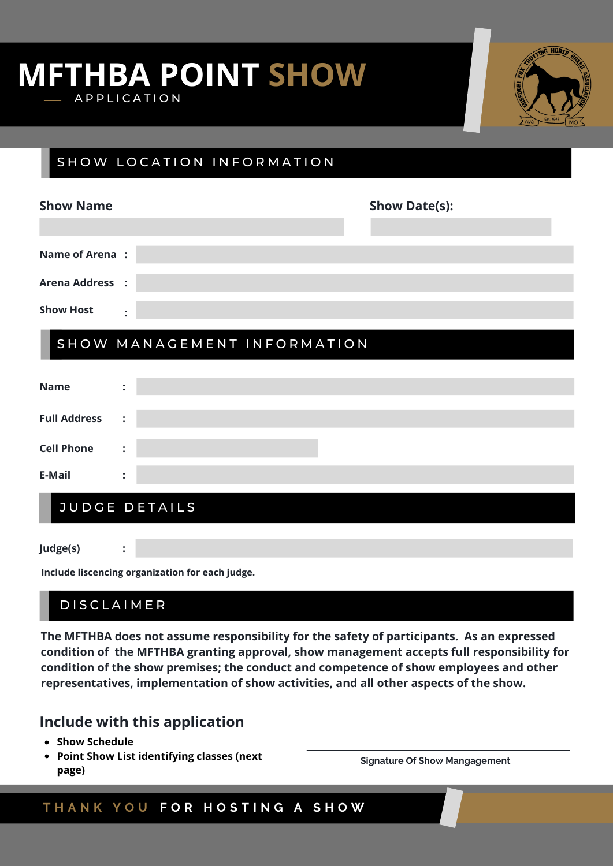## **MFTHBA POINT SHOW** A P P L I C A T I O N



### SHOW LOCATION INFORMATION

| <b>Show Name</b>            |                      | <b>Show Date(s):</b> |  |  |  |
|-----------------------------|----------------------|----------------------|--|--|--|
|                             |                      |                      |  |  |  |
| <b>Name of Arena:</b>       |                      |                      |  |  |  |
| <b>Arena Address :</b>      |                      |                      |  |  |  |
| <b>Show Host</b>            | $\ddot{\cdot}$       |                      |  |  |  |
| SHOW MANAGEMENT INFORMATION |                      |                      |  |  |  |
| <b>Name</b>                 | $\ddot{\cdot}$       |                      |  |  |  |
| <b>Full Address</b>         | $\ddot{\cdot}$       |                      |  |  |  |
| <b>Cell Phone</b>           | $\ddot{\cdot}$       |                      |  |  |  |
| <b>E-Mail</b>               | $\ddot{\cdot}$       |                      |  |  |  |
|                             | <b>JUDGE DETAILS</b> |                      |  |  |  |

**Judge(s)**

**Include liscencing organization for each judge.**

### **DISCLAIMER**

**:**

**The MFTHBA does not assume responsibility for the safety of participants. As an expressed condition of the MFTHBA granting approval, show management accepts full responsibility for condition of the show premises; the conduct and competence of show employees and other representatives, implementation of show activities, and all other aspects of the show.**

### **Include with this application**

- **Show Schedule**
- **Point Show List identifying classes (next page)**

**Signature Of Show Mangagement**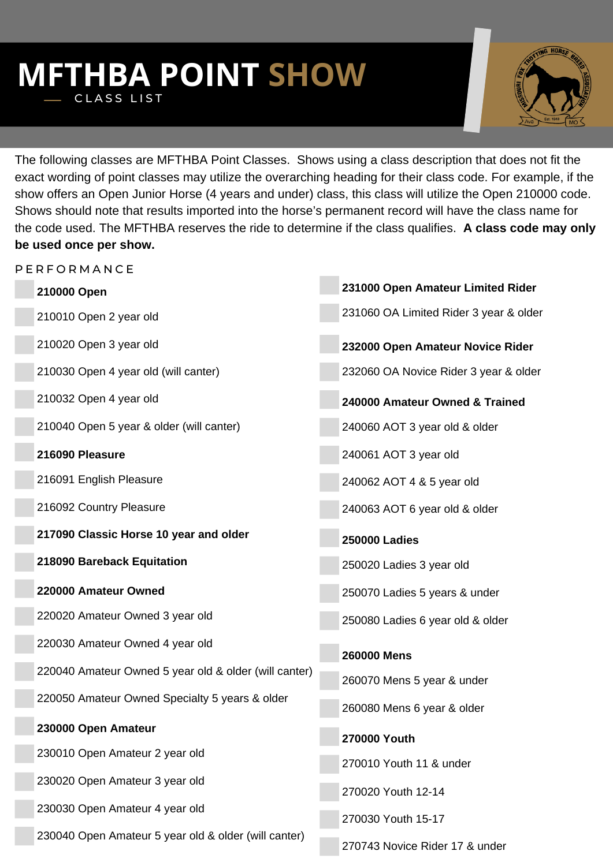### **MFTHBA POINT SHOW** CLASS LIST



The following classes are MFTHBA Point Classes. Shows using a class description that does not fit the exact wording of point classes may utilize the overarching heading for their class code. For example, if the show offers an Open Junior Horse (4 years and under) class, this class will utilize the Open 210000 code. Shows should note that results imported into the horse's permanent record will have the class name for the code used. The MFTHBA reserves the ride to determine if the class qualifies. **A class code may only be used once per show.**

| PERFORMANCE                                           |                                        |
|-------------------------------------------------------|----------------------------------------|
| 210000 Open                                           | 231000 Open Amateur Limited Rider      |
| 210010 Open 2 year old                                | 231060 OA Limited Rider 3 year & older |
| 210020 Open 3 year old                                | 232000 Open Amateur Novice Rider       |
| 210030 Open 4 year old (will canter)                  | 232060 OA Novice Rider 3 year & older  |
| 210032 Open 4 year old                                | 240000 Amateur Owned & Trained         |
| 210040 Open 5 year & older (will canter)              | 240060 AOT 3 year old & older          |
| 216090 Pleasure                                       | 240061 AOT 3 year old                  |
| 216091 English Pleasure                               | 240062 AOT 4 & 5 year old              |
| 216092 Country Pleasure                               | 240063 AOT 6 year old & older          |
| 217090 Classic Horse 10 year and older                | <b>250000 Ladies</b>                   |
| 218090 Bareback Equitation                            | 250020 Ladies 3 year old               |
| 220000 Amateur Owned                                  | 250070 Ladies 5 years & under          |
| 220020 Amateur Owned 3 year old                       | 250080 Ladies 6 year old & older       |
| 220030 Amateur Owned 4 year old                       | <b>260000 Mens</b>                     |
| 220040 Amateur Owned 5 year old & older (will canter) | 260070 Mens 5 year & under             |
| 220050 Amateur Owned Specialty 5 years & older        | 260080 Mens 6 year & older             |
| 230000 Open Amateur                                   |                                        |
| 230010 Open Amateur 2 year old                        | 270000 Youth                           |
| 230020 Open Amateur 3 year old                        | 270010 Youth 11 & under                |
|                                                       | 270020 Youth 12-14                     |
| 230030 Open Amateur 4 year old                        | 270030 Youth 15-17                     |
| 230040 Open Amateur 5 year old & older (will canter)  | 270743 Novice Rider 17 & under         |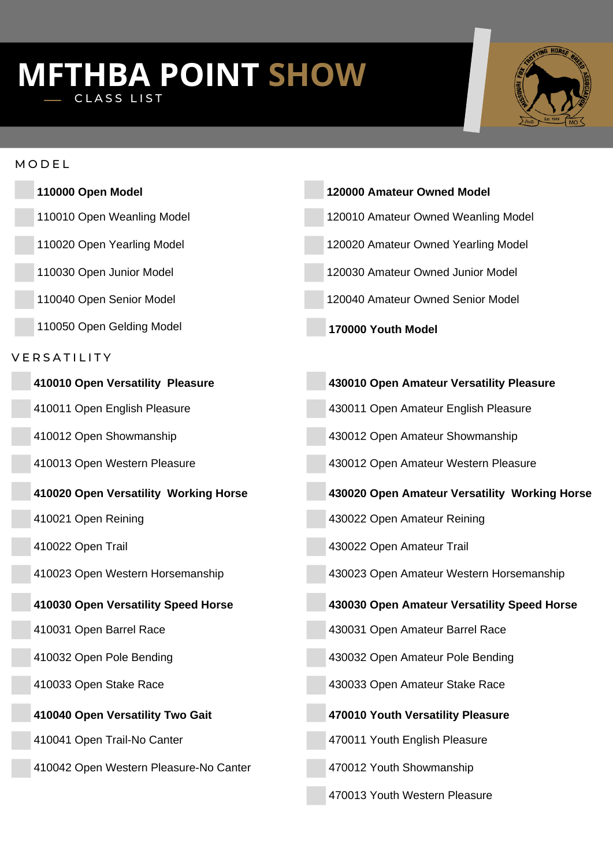# **MFTHBA POINT SHOW** CLASS LIST



| м | O | . ل |  |
|---|---|-----|--|
|   |   |     |  |

| 110000 Open Model                      | 120000 Amateur Owned Model                    |
|----------------------------------------|-----------------------------------------------|
| 110010 Open Weanling Model             | 120010 Amateur Owned Weanling Model           |
| 110020 Open Yearling Model             | 120020 Amateur Owned Yearling Model           |
| 110030 Open Junior Model               | 120030 Amateur Owned Junior Model             |
| 110040 Open Senior Model               | 120040 Amateur Owned Senior Model             |
| 110050 Open Gelding Model              | 170000 Youth Model                            |
| VERSATILITY                            |                                               |
| 410010 Open Versatility Pleasure       | 430010 Open Amateur Versatility Pleasure      |
| 410011 Open English Pleasure           | 430011 Open Amateur English Pleasure          |
| 410012 Open Showmanship                | 430012 Open Amateur Showmanship               |
| 410013 Open Western Pleasure           | 430012 Open Amateur Western Pleasure          |
| 410020 Open Versatility Working Horse  | 430020 Open Amateur Versatility Working Horse |
| 410021 Open Reining                    | 430022 Open Amateur Reining                   |
| 410022 Open Trail                      | 430022 Open Amateur Trail                     |
| 410023 Open Western Horsemanship       | 430023 Open Amateur Western Horsemanship      |
| 410030 Open Versatility Speed Horse    | 430030 Open Amateur Versatility Speed Horse   |
| 410031 Open Barrel Race                | 430031 Open Amateur Barrel Race               |
| 410032 Open Pole Bending               | 430032 Open Amateur Pole Bending              |
| 410033 Open Stake Race                 | 430033 Open Amateur Stake Race                |
| 410040 Open Versatility Two Gait       | 470010 Youth Versatility Pleasure             |
| 410041 Open Trail-No Canter            | 470011 Youth English Pleasure                 |
| 410042 Open Western Pleasure-No Canter | 470012 Youth Showmanship                      |
|                                        | 470013 Youth Western Pleasure                 |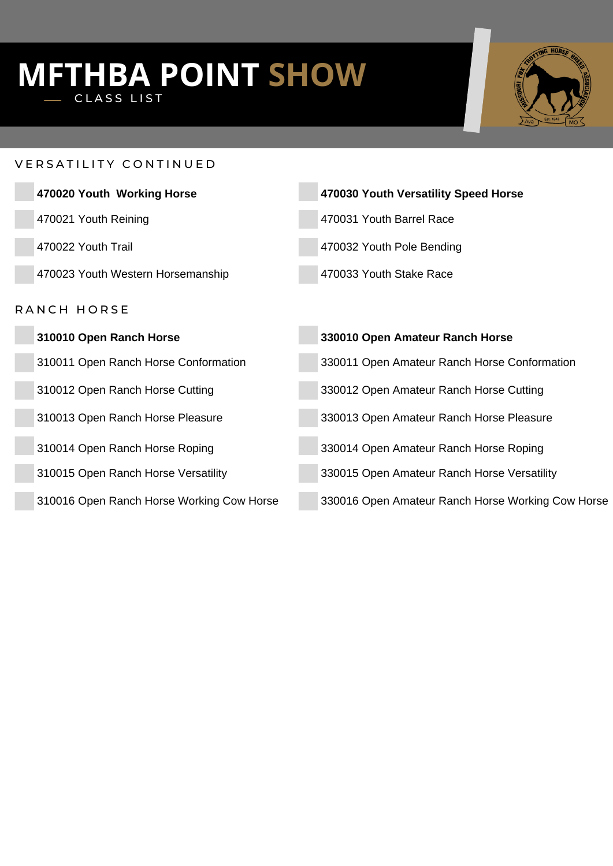# **MFTHBA POINT SHOW** CLASS LIST



#### VERSATILITY CONTINUED

| 470020 Youth Working Horse                | 470030 Youth Versatility Speed Horse              |  |  |  |
|-------------------------------------------|---------------------------------------------------|--|--|--|
| 470021 Youth Reining                      | 470031 Youth Barrel Race                          |  |  |  |
| 470022 Youth Trail                        | 470032 Youth Pole Bending                         |  |  |  |
| 470023 Youth Western Horsemanship         | 470033 Youth Stake Race                           |  |  |  |
| RANCH HORSE                               |                                                   |  |  |  |
| 310010 Open Ranch Horse                   | 330010 Open Amateur Ranch Horse                   |  |  |  |
| 310011 Open Ranch Horse Conformation      | 330011 Open Amateur Ranch Horse Conformation      |  |  |  |
| 310012 Open Ranch Horse Cutting           | 330012 Open Amateur Ranch Horse Cutting           |  |  |  |
| 310013 Open Ranch Horse Pleasure          | 330013 Open Amateur Ranch Horse Pleasure          |  |  |  |
| 310014 Open Ranch Horse Roping            | 330014 Open Amateur Ranch Horse Roping            |  |  |  |
| 310015 Open Ranch Horse Versatility       | 330015 Open Amateur Ranch Horse Versatility       |  |  |  |
| 310016 Open Ranch Horse Working Cow Horse | 330016 Open Amateur Ranch Horse Working Cow Horse |  |  |  |